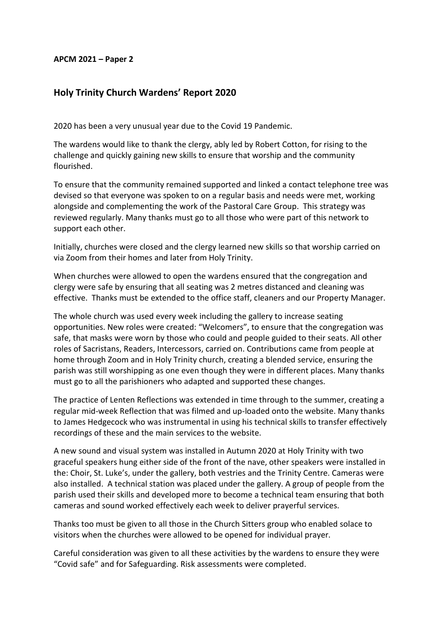## **APCM 2021 – Paper 2**

## **Holy Trinity Church Wardens' Report 2020**

2020 has been a very unusual year due to the Covid 19 Pandemic.

The wardens would like to thank the clergy, ably led by Robert Cotton, for rising to the challenge and quickly gaining new skills to ensure that worship and the community flourished.

To ensure that the community remained supported and linked a contact telephone tree was devised so that everyone was spoken to on a regular basis and needs were met, working alongside and complementing the work of the Pastoral Care Group. This strategy was reviewed regularly. Many thanks must go to all those who were part of this network to support each other.

Initially, churches were closed and the clergy learned new skills so that worship carried on via Zoom from their homes and later from Holy Trinity.

When churches were allowed to open the wardens ensured that the congregation and clergy were safe by ensuring that all seating was 2 metres distanced and cleaning was effective. Thanks must be extended to the office staff, cleaners and our Property Manager.

The whole church was used every week including the gallery to increase seating opportunities. New roles were created: "Welcomers", to ensure that the congregation was safe, that masks were worn by those who could and people guided to their seats. All other roles of Sacristans, Readers, Intercessors, carried on. Contributions came from people at home through Zoom and in Holy Trinity church, creating a blended service, ensuring the parish was still worshipping as one even though they were in different places. Many thanks must go to all the parishioners who adapted and supported these changes.

The practice of Lenten Reflections was extended in time through to the summer, creating a regular mid-week Reflection that was filmed and up-loaded onto the website. Many thanks to James Hedgecock who was instrumental in using his technical skills to transfer effectively recordings of these and the main services to the website.

A new sound and visual system was installed in Autumn 2020 at Holy Trinity with two graceful speakers hung either side of the front of the nave, other speakers were installed in the: Choir, St. Luke's, under the gallery, both vestries and the Trinity Centre. Cameras were also installed. A technical station was placed under the gallery. A group of people from the parish used their skills and developed more to become a technical team ensuring that both cameras and sound worked effectively each week to deliver prayerful services.

Thanks too must be given to all those in the Church Sitters group who enabled solace to visitors when the churches were allowed to be opened for individual prayer.

Careful consideration was given to all these activities by the wardens to ensure they were "Covid safe" and for Safeguarding. Risk assessments were completed.